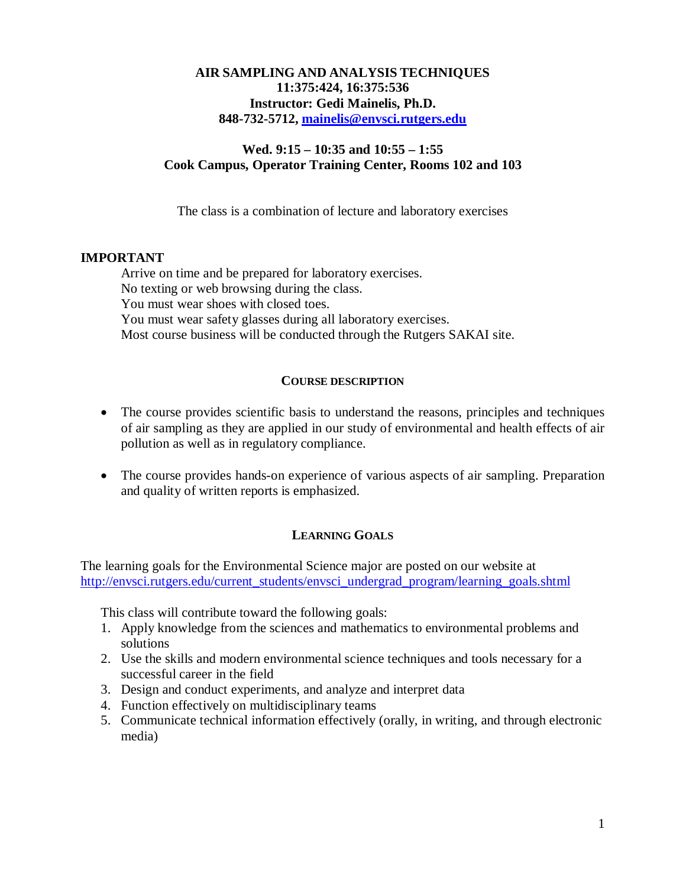## **AIR SAMPLING AND ANALYSIS TECHNIQUES 11:375:424, 16:375:536 Instructor: Gedi Mainelis, Ph.D. 848-732-5712, [mainelis@envsci.rutgers.edu](mailto:mainelis@envsci.rutgers.edu)**

# **Wed. 9:15 – 10:35 and 10:55 – 1:55 Cook Campus, Operator Training Center, Rooms 102 and 103**

The class is a combination of lecture and laboratory exercises

## **IMPORTANT**

Arrive on time and be prepared for laboratory exercises. No texting or web browsing during the class. You must wear shoes with closed toes. You must wear safety glasses during all laboratory exercises. Most course business will be conducted through the Rutgers SAKAI site.

## **COURSE DESCRIPTION**

- The course provides scientific basis to understand the reasons, principles and techniques of air sampling as they are applied in our study of environmental and health effects of air pollution as well as in regulatory compliance.
- The course provides hands-on experience of various aspects of air sampling. Preparation and quality of written reports is emphasized.

# **LEARNING GOALS**

The learning goals for the Environmental Science major are posted on our website at [http://envsci.rutgers.edu/current\\_students/envsci\\_undergrad\\_program/learning\\_goals.shtml](http://envsci.rutgers.edu/current_students/envsci_undergrad_program/learning_goals.shtml)

This class will contribute toward the following goals:

- 1. Apply knowledge from the sciences and mathematics to environmental problems and solutions
- 2. Use the skills and modern environmental science techniques and tools necessary for a successful career in the field
- 3. Design and conduct experiments, and analyze and interpret data
- 4. Function effectively on multidisciplinary teams
- 5. Communicate technical information effectively (orally, in writing, and through electronic media)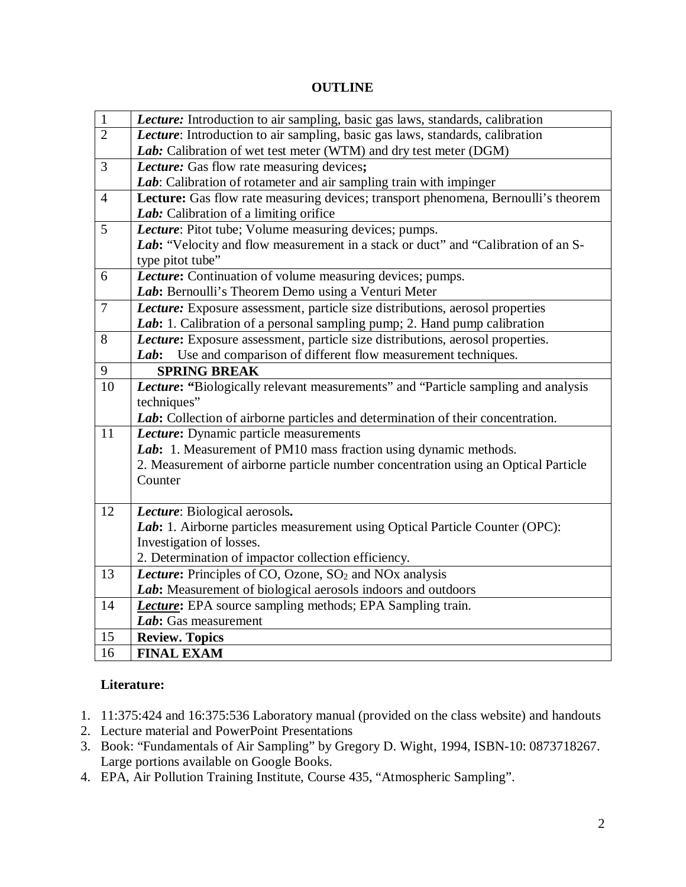# **OUTLINE**

| $\mathbf{1}$   | Lecture: Introduction to air sampling, basic gas laws, standards, calibration                                                         |
|----------------|---------------------------------------------------------------------------------------------------------------------------------------|
| $\overline{2}$ | Lecture: Introduction to air sampling, basic gas laws, standards, calibration                                                         |
|                | Lab: Calibration of wet test meter (WTM) and dry test meter (DGM)                                                                     |
| 3              | Lecture: Gas flow rate measuring devices;                                                                                             |
|                | Lab: Calibration of rotameter and air sampling train with impinger                                                                    |
| $\overline{4}$ | Lecture: Gas flow rate measuring devices; transport phenomena, Bernoulli's theorem                                                    |
|                | Lab: Calibration of a limiting orifice                                                                                                |
| 5              | Lecture: Pitot tube; Volume measuring devices; pumps.                                                                                 |
|                | Lab: "Velocity and flow measurement in a stack or duct" and "Calibration of an S-                                                     |
|                | type pitot tube"                                                                                                                      |
| 6              | Lecture: Continuation of volume measuring devices; pumps.                                                                             |
|                | Lab: Bernoulli's Theorem Demo using a Venturi Meter                                                                                   |
| $\overline{7}$ | Lecture: Exposure assessment, particle size distributions, aerosol properties                                                         |
|                | Lab: 1. Calibration of a personal sampling pump; 2. Hand pump calibration                                                             |
| 8              | Lecture: Exposure assessment, particle size distributions, aerosol properties.                                                        |
|                | Use and comparison of different flow measurement techniques.<br>Lab:                                                                  |
| 9              | <b>SPRING BREAK</b>                                                                                                                   |
| 10             | Lecture: "Biologically relevant measurements" and "Particle sampling and analysis                                                     |
|                | techniques"                                                                                                                           |
|                | Lab: Collection of airborne particles and determination of their concentration.                                                       |
| 11             | Lecture: Dynamic particle measurements                                                                                                |
|                | Lab: 1. Measurement of PM10 mass fraction using dynamic methods.                                                                      |
|                | 2. Measurement of airborne particle number concentration using an Optical Particle                                                    |
|                | Counter                                                                                                                               |
|                |                                                                                                                                       |
| 12             | Lecture: Biological aerosols.                                                                                                         |
|                | Lab: 1. Airborne particles measurement using Optical Particle Counter (OPC):                                                          |
|                | Investigation of losses.                                                                                                              |
| 13             | 2. Determination of impactor collection efficiency.<br>Lecture: Principles of CO, Ozone, SO <sub>2</sub> and NO <sub>x</sub> analysis |
|                |                                                                                                                                       |
| 14             | Lab: Measurement of biological aerosols indoors and outdoors<br><b>Lecture:</b> EPA source sampling methods; EPA Sampling train.      |
|                | Lab: Gas measurement                                                                                                                  |
|                |                                                                                                                                       |
| 15<br>16       | <b>Review. Topics</b><br><b>FINAL EXAM</b>                                                                                            |
|                |                                                                                                                                       |

# **Literature:**

- 1. 11:375:424 and 16:375:536 Laboratory manual (provided on the class website) and handouts
- 2. Lecture material and PowerPoint Presentations
- 3. Book: "Fundamentals of Air Sampling" by Gregory D. Wight, 1994, ISBN-10: 0873718267. Large portions available on Google Books.
- 4. EPA, Air Pollution Training Institute, Course 435, "Atmospheric Sampling".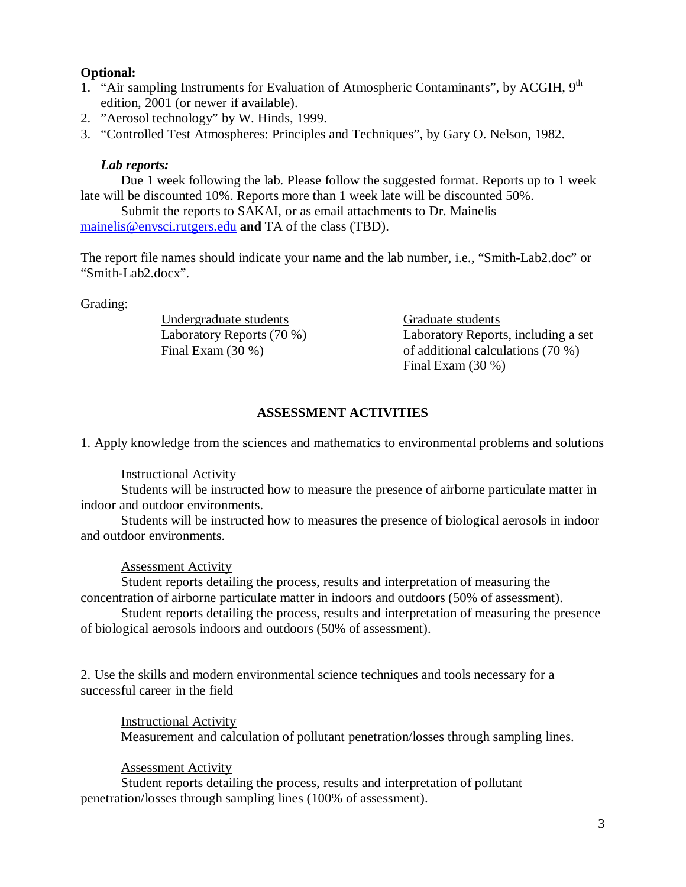## **Optional:**

- 1. "Air sampling Instruments for Evaluation of Atmospheric Contaminants", by ACGIH, 9<sup>th</sup> edition, 2001 (or newer if available).
- 2. "Aerosol technology" by W. Hinds, 1999.
- 3. "Controlled Test Atmospheres: Principles and Techniques", by Gary O. Nelson, 1982.

## *Lab reports:*

Due 1 week following the lab. Please follow the suggested format. Reports up to 1 week late will be discounted 10%. Reports more than 1 week late will be discounted 50%.

Submit the reports to SAKAI, or as email attachments to Dr. Mainelis [mainelis@envsci.rutgers.edu](mailto:mainelis@envsci.rutgers.edu) **and** TA of the class (TBD).

The report file names should indicate your name and the lab number, i.e., "Smith-Lab2.doc" or "Smith-Lab2.docx".

Grading:

Undergraduate students Graduate students

Laboratory Reports (70 %) Laboratory Reports, including a set Final Exam (30 %) of additional calculations (70 %) Final Exam (30 %)

## **ASSESSMENT ACTIVITIES**

1. Apply knowledge from the sciences and mathematics to environmental problems and solutions

## Instructional Activity

Students will be instructed how to measure the presence of airborne particulate matter in indoor and outdoor environments.

Students will be instructed how to measures the presence of biological aerosols in indoor and outdoor environments.

## Assessment Activity

Student reports detailing the process, results and interpretation of measuring the concentration of airborne particulate matter in indoors and outdoors (50% of assessment).

Student reports detailing the process, results and interpretation of measuring the presence of biological aerosols indoors and outdoors (50% of assessment).

2. Use the skills and modern environmental science techniques and tools necessary for a successful career in the field

## Instructional Activity

Measurement and calculation of pollutant penetration/losses through sampling lines.

## Assessment Activity

Student reports detailing the process, results and interpretation of pollutant penetration/losses through sampling lines (100% of assessment).